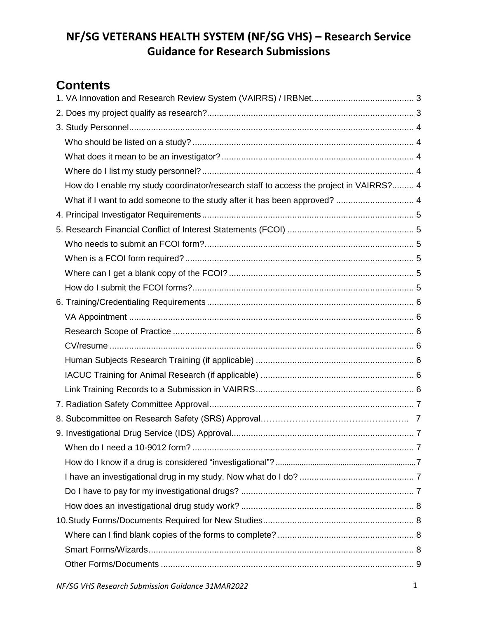# **Contents**

| How do I enable my study coordinator/research staff to access the project in VAIRRS? 4 |  |
|----------------------------------------------------------------------------------------|--|
| What if I want to add someone to the study after it has been approved?  4              |  |
|                                                                                        |  |
|                                                                                        |  |
|                                                                                        |  |
|                                                                                        |  |
|                                                                                        |  |
|                                                                                        |  |
|                                                                                        |  |
|                                                                                        |  |
|                                                                                        |  |
|                                                                                        |  |
|                                                                                        |  |
|                                                                                        |  |
|                                                                                        |  |
|                                                                                        |  |
|                                                                                        |  |
|                                                                                        |  |
|                                                                                        |  |
|                                                                                        |  |
|                                                                                        |  |
|                                                                                        |  |
|                                                                                        |  |
|                                                                                        |  |
|                                                                                        |  |
|                                                                                        |  |
|                                                                                        |  |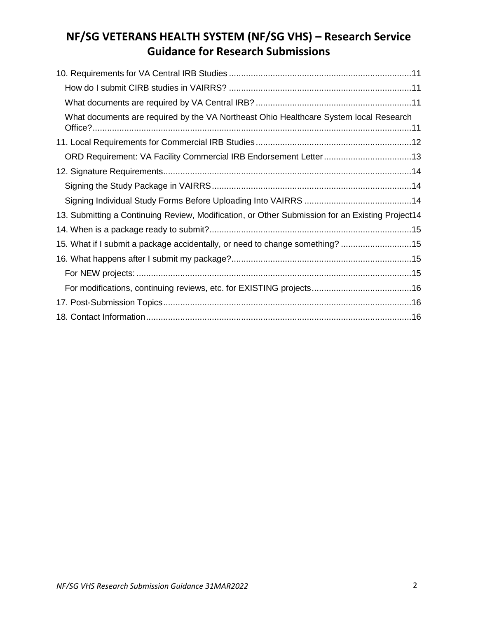| What documents are required by the VA Northeast Ohio Healthcare System local Research           |
|-------------------------------------------------------------------------------------------------|
|                                                                                                 |
|                                                                                                 |
|                                                                                                 |
|                                                                                                 |
|                                                                                                 |
| 13. Submitting a Continuing Review, Modification, or Other Submission for an Existing Project14 |
|                                                                                                 |
| 15. What if I submit a package accidentally, or need to change something? 15                    |
|                                                                                                 |
|                                                                                                 |
|                                                                                                 |
|                                                                                                 |
|                                                                                                 |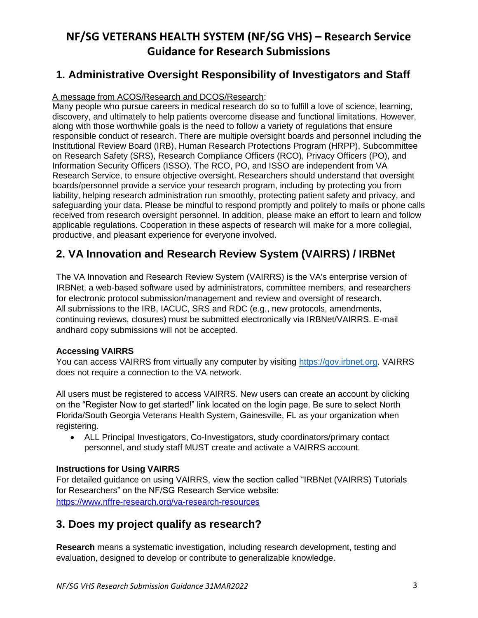## <span id="page-2-0"></span>**1. Administrative Oversight Responsibility of Investigators and Staff**

### A message from ACOS/Research and DCOS/Research:

Many people who pursue careers in medical research do so to fulfill a love of science, learning, discovery, and ultimately to help patients overcome disease and functional limitations. However, along with those worthwhile goals is the need to follow a variety of regulations that ensure responsible conduct of research. There are multiple oversight boards and personnel including the Institutional Review Board (IRB), Human Research Protections Program (HRPP), Subcommittee on Research Safety (SRS), Research Compliance Officers (RCO), Privacy Officers (PO), and Information Security Officers (ISSO). The RCO, PO, and ISSO are independent from VA Research Service, to ensure objective oversight. Researchers should understand that oversight boards/personnel provide a service your research program, including by protecting you from liability, helping research administration run smoothly, protecting patient safety and privacy, and safeguarding your data. Please be mindful to respond promptly and politely to mails or phone calls received from research oversight personnel. In addition, please make an effort to learn and follow applicable regulations. Cooperation in these aspects of research will make for a more collegial, productive, and pleasant experience for everyone involved.

# **2. VA Innovation and Research Review System (VAIRRS) / IRBNet**

The VA Innovation and Research Review System (VAIRRS) is the VA's enterprise version of IRBNet, a web-based software used by administrators, committee members, and researchers for electronic protocol submission/management and review and oversight of research. All submissions to the IRB, IACUC, SRS and RDC (e.g., new protocols, amendments, continuing reviews, closures) must be submitted electronically via IRBNet/VAIRRS. E-mail andhard copy submissions will not be accepted.

#### **Accessing VAIRRS**

You can access VAIRRS from virtually any computer by visiting [https://gov.irbnet.org.](https://gov.irbnet.org/) VAIRRS does not require a connection to the VA network.

All users must be registered to access VAIRRS. New users can create an account by clicking on the "Register Now to get started!" link located on the login page. Be sure to select North Florida/South Georgia Veterans Health System, Gainesville, FL as your organization when registering.

 ALL Principal Investigators, Co-Investigators, study coordinators/primary contact personnel, and study staff MUST create and activate a VAIRRS account.

#### **Instructions for Using VAIRRS**

For detailed guidance on using VAIRRS, view the section called "IRBNet (VAIRRS) Tutorials for Researchers" on the NF/SG Research Service website: <https://www.nffre-research.org/va-research-resources>

## <span id="page-2-1"></span>**3. Does my project qualify as research?**

**Research** means a systematic investigation, including research development, testing and evaluation, designed to develop or contribute to generalizable knowledge.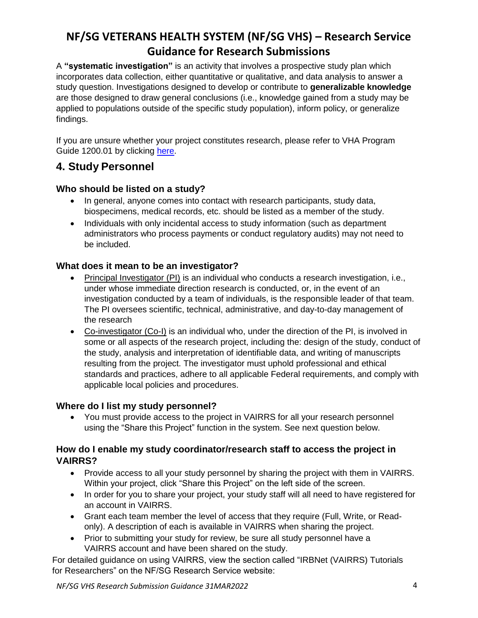A **"systematic investigation"** is an activity that involves a prospective study plan which incorporates data collection, either quantitative or qualitative, and data analysis to answer a study question. Investigations designed to develop or contribute to **generalizable knowledge** are those designed to draw general conclusions (i.e., knowledge gained from a study may be applied to populations outside of the specific study population), inform policy, or generalize findings.

If you are unsure whether your project constitutes research, please refer to VHA Program Guide 1200.01 by clicking [here.](https://www.research.va.gov/resources/policies/ProgramGuide-1200-21-VHA-Operations-Activities.pdf)

## <span id="page-3-0"></span>**4. Study Personnel**

### <span id="page-3-1"></span>**Who should be listed on a study?**

- In general, anyone comes into contact with research participants, study data, biospecimens, medical records, etc. should be listed as a member of the study.
- Individuals with only incidental access to study information (such as department administrators who process payments or conduct regulatory audits) may not need to be included.

### <span id="page-3-2"></span>**What does it mean to be an investigator?**

- Principal Investigator (PI) is an individual who conducts a research investigation, i.e., under whose immediate direction research is conducted, or, in the event of an investigation conducted by a team of individuals, is the responsible leader of that team. The PI oversees scientific, technical, administrative, and day-to-day management of the research
- Co-investigator (Co-I) is an individual who, under the direction of the PI, is involved in some or all aspects of the research project, including the: design of the study, conduct of the study, analysis and interpretation of identifiable data, and writing of manuscripts resulting from the project. The investigator must uphold professional and ethical standards and practices, adhere to all applicable Federal requirements, and comply with applicable local policies and procedures.

#### <span id="page-3-3"></span>**Where do I list my study personnel?**

 You must provide access to the project in VAIRRS for all your research personnel using the "Share this Project" function in the system. See next question below.

#### <span id="page-3-4"></span>**How do I enable my study coordinator/research staff to access the project in VAIRRS?**

- Provide access to all your study personnel by sharing the project with them in VAIRRS. Within your project, click "Share this Project" on the left side of the screen.
- In order for you to share your project, your study staff will all need to have registered for an account in VAIRRS.
- Grant each team member the level of access that they require (Full, Write, or Readonly). A description of each is available in VAIRRS when sharing the project.
- Prior to submitting your study for review, be sure all study personnel have a VAIRRS account and have been shared on the study.

For detailed guidance on using VAIRRS, view the section called "IRBNet (VAIRRS) Tutorials for Researchers" on the NF/SG Research Service website: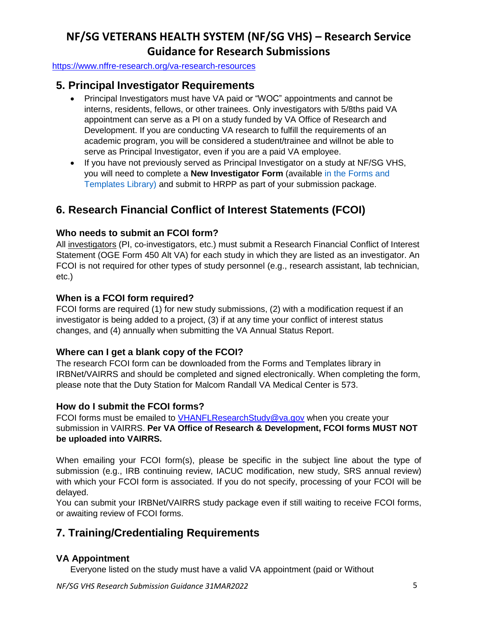<https://www.nffre-research.org/va-research-resources>

## <span id="page-4-1"></span><span id="page-4-0"></span>**5. Principal Investigator Requirements**

- Principal Investigators must have VA paid or "WOC" appointments and cannot be interns, residents, fellows, or other trainees. Only investigators with 5/8ths paid VA appointment can serve as a PI on a study funded by VA Office of Research and Development. If you are conducting VA research to fulfill the requirements of an academic program, you will be considered a student/trainee and willnot be able to serve as Principal Investigator, even if you are a paid VA employee.
- If you have not previously served as Principal Investigator on a study at NF/SG VHS, you will need to complete a **New Investigator Form** (available in the Forms and Templates Library) and submit to HRPP as part of your submission package.

# <span id="page-4-2"></span>**6. Research Financial Conflict of Interest Statements (FCOI)**

### <span id="page-4-3"></span>**Who needs to submit an FCOI form?**

All investigators (PI, co-investigators, etc.) must submit a Research Financial Conflict of Interest Statement (OGE Form 450 Alt VA) for each study in which they are listed as an investigator. An FCOI is not required for other types of study personnel (e.g., research assistant, lab technician, etc.)

### <span id="page-4-4"></span>**When is a FCOI form required?**

FCOI forms are required (1) for new study submissions, (2) with a modification request if an investigator is being added to a project, (3) if at any time your conflict of interest status changes, and (4) annually when submitting the VA Annual Status Report.

### <span id="page-4-5"></span>**Where can I get a blank copy of the FCOI?**

The research FCOI form can be downloaded from the Forms and Templates library in IRBNet/VAIRRS and should be completed and signed electronically. When completing the form, please note that the Duty Station for Malcom Randall VA Medical Center is 573.

### <span id="page-4-6"></span>**How do I submit the FCOI forms?**

FCOI forms must be emailed to [VHANFLResearchStudy@va.gov](mailto:VHANFLResearchStudy@va.gov) when you create your submission in VAIRRS. **Per VA Office of Research & Development, FCOI forms MUST NOT be uploaded into VAIRRS.**

When emailing your FCOI form(s), please be specific in the subject line about the type of submission (e.g., IRB continuing review, IACUC modification, new study, SRS annual review) with which your FCOI form is associated. If you do not specify, processing of your FCOI will be delayed.

You can submit your IRBNet/VAIRRS study package even if still waiting to receive FCOI forms, or awaiting review of FCOI forms.

## <span id="page-4-7"></span>**7. Training/Credentialing Requirements**

### <span id="page-4-8"></span>**VA Appointment**

Everyone listed on the study must have a valid VA appointment (paid or Without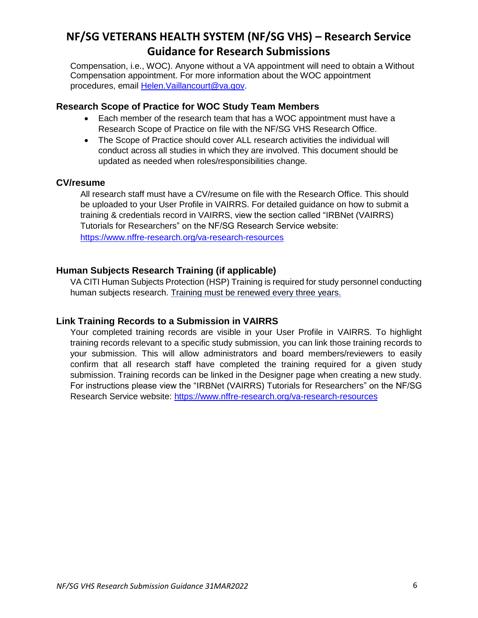Compensation, i.e., WOC). Anyone without a VA appointment will need to obtain a Without Compensation appointment. For more information about the WOC appointment procedures, email [Helen.Vaillancourt@va.gov.](mailto:Helen.Vaillancourt@va.gov)

#### <span id="page-5-0"></span>**Research Scope of Practice for WOC Study Team Members**

- Each member of the research team that has a WOC appointment must have a Research Scope of Practice on file with the NF/SG VHS Research Office.
- The Scope of Practice should cover ALL research activities the individual will conduct across all studies in which they are involved. This document should be updated as needed when roles/responsibilities change.

#### <span id="page-5-1"></span>**CV/resume**

All research staff must have a CV/resume on file with the Research Office. This should be uploaded to your User Profile in VAIRRS. For detailed guidance on how to submit a training & credentials record in VAIRRS, view the section called "IRBNet (VAIRRS) Tutorials for Researchers" on the NF/SG Research Service website: <https://www.nffre-research.org/va-research-resources>

#### <span id="page-5-2"></span>**Human Subjects Research Training (if applicable)**

VA CITI Human Subjects Protection (HSP) Training is required for study personnel conducting human subjects research. Training must be renewed every three years.

#### <span id="page-5-4"></span><span id="page-5-3"></span>**Link Training Records to a Submission in VAIRRS**

Your completed training records are visible in your User Profile in VAIRRS. To highlight training records relevant to a specific study submission, you can link those training records to your submission. This will allow administrators and board members/reviewers to easily confirm that all research staff have completed the training required for a given study submission. Training records can be linked in the Designer page when creating a new study. For instructions please view the "IRBNet (VAIRRS) Tutorials for Researchers" on the NF/SG Research Service website:<https://www.nffre-research.org/va-research-resources>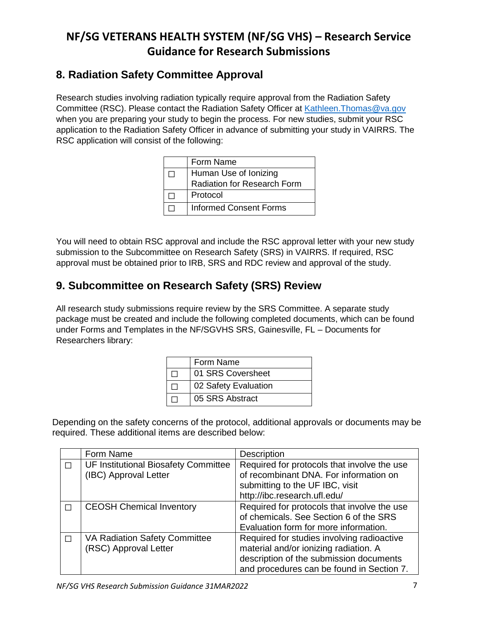## <span id="page-6-0"></span>**8. Radiation Safety Committee Approval**

Research studies involving radiation typically require approval from the Radiation Safety Committee (RSC). Please contact the Radiation Safety Officer at [Kathleen.Thomas@va.gov](mailto:Ronald.Leuenberger@va.gov) when you are preparing your study to begin the process. For new studies, submit your RSC application to the Radiation Safety Officer in advance of submitting your study in VAIRRS. The RSC application will consist of the following:

| Form Name                          |
|------------------------------------|
| Human Use of Ionizing              |
| <b>Radiation for Research Form</b> |
| Protocol                           |
| <b>Informed Consent Forms</b>      |

You will need to obtain RSC approval and include the RSC approval letter with your new study submission to the Subcommittee on Research Safety (SRS) in VAIRRS. If required, RSC approval must be obtained prior to IRB, SRS and RDC review and approval of the study.

# **9. Subcommittee on Research Safety (SRS) Review**

All research study submissions require review by the SRS Committee. A separate study package must be created and include the following completed documents, which can be found under Forms and Templates in the NF/SGVHS SRS, Gainesville, FL – Documents for Researchers library:

| Form Name            |
|----------------------|
| 01 SRS Coversheet    |
| 02 Safety Evaluation |
| 05 SRS Abstract      |

Depending on the safety concerns of the protocol, additional approvals or documents may be required. These additional items are described below:

|   | Form Name                            | Description                                 |
|---|--------------------------------------|---------------------------------------------|
|   | UF Institutional Biosafety Committee | Required for protocols that involve the use |
|   | (IBC) Approval Letter                | of recombinant DNA. For information on      |
|   |                                      | submitting to the UF IBC, visit             |
|   |                                      | http://ibc.research.ufl.edu/                |
| П | <b>CEOSH Chemical Inventory</b>      | Required for protocols that involve the use |
|   |                                      | of chemicals. See Section 6 of the SRS      |
|   |                                      | Evaluation form for more information.       |
|   | VA Radiation Safety Committee        | Required for studies involving radioactive  |
|   | (RSC) Approval Letter                | material and/or ionizing radiation. A       |
|   |                                      | description of the submission documents     |
|   |                                      | and procedures can be found in Section 7.   |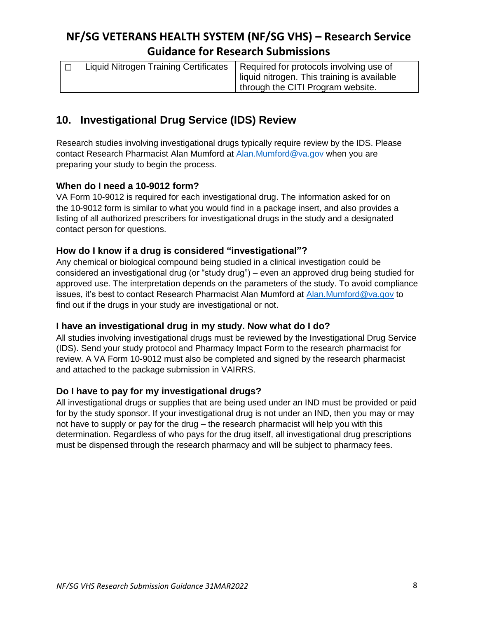| Liquid Nitrogen Training Certificates | Required for protocols involving use of     |
|---------------------------------------|---------------------------------------------|
|                                       | liquid nitrogen. This training is available |
|                                       | I through the CITI Program website.         |

## <span id="page-7-0"></span>**10. Investigational Drug Service (IDS) Review**

Research studies involving investigational drugs typically require review by the IDS. Please contact Research Pharmacist Alan Mumford at [Alan.Mumford@va.gov](mailto:David.Panning@va.gov) when you are preparing your study to begin the process.

### <span id="page-7-1"></span>**When do I need a 10-9012 form?**

VA Form 10-9012 is required for each investigational drug. The information asked for on the 10-9012 form is similar to what you would find in a package insert, and also provides a listing of all authorized prescribers for investigational drugs in the study and a designated contact person for questions.

### <span id="page-7-2"></span>**How do I know if a drug is considered "investigational"?**

Any chemical or biological compound being studied in a clinical investigation could be considered an investigational drug (or "study drug") – even an approved drug being studied for approved use. The interpretation depends on the parameters of the study. To avoid compliance issues, it's best to contact Research Pharmacist Alan Mumford at [Alan.Mumford@va.gov](mailto:David.Panning@va.gov) to find out if the drugs in your study are investigational or not.

#### <span id="page-7-3"></span>**I have an investigational drug in my study. Now what do I do?**

All studies involving investigational drugs must be reviewed by the Investigational Drug Service (IDS). Send your study protocol and Pharmacy Impact Form to the research pharmacist for review. A VA Form 10-9012 must also be completed and signed by the research pharmacist and attached to the package submission in VAIRRS.

#### <span id="page-7-4"></span>**Do I have to pay for my investigational drugs?**

All investigational drugs or supplies that are being used under an IND must be provided or paid for by the study sponsor. If your investigational drug is not under an IND, then you may or may not have to supply or pay for the drug – the research pharmacist will help you with this determination. Regardless of who pays for the drug itself, all investigational drug prescriptions must be dispensed through the research pharmacy and will be subject to pharmacy fees.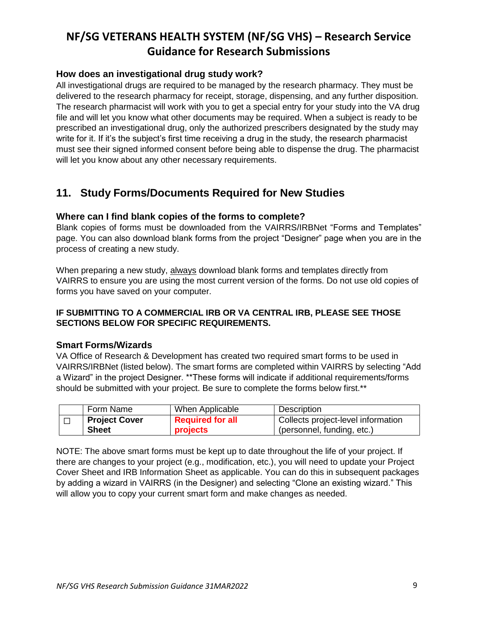### <span id="page-8-0"></span>**How does an investigational drug study work?**

All investigational drugs are required to be managed by the research pharmacy. They must be delivered to the research pharmacy for receipt, storage, dispensing, and any further disposition. The research pharmacist will work with you to get a special entry for your study into the VA drug file and will let you know what other documents may be required. When a subject is ready to be prescribed an investigational drug, only the authorized prescribers designated by the study may write for it. If it's the subject's first time receiving a drug in the study, the research pharmacist must see their signed informed consent before being able to dispense the drug. The pharmacist will let you know about any other necessary requirements.

## <span id="page-8-1"></span>**11. Study Forms/Documents Required for New Studies**

#### <span id="page-8-2"></span>**Where can I find blank copies of the forms to complete?**

Blank copies of forms must be downloaded from the VAIRRS/IRBNet "Forms and Templates" page. You can also download blank forms from the project "Designer" page when you are in the process of creating a new study.

When preparing a new study, always download blank forms and templates directly from VAIRRS to ensure you are using the most current version of the forms. Do not use old copies of forms you have saved on your computer.

#### **IF SUBMITTING TO A COMMERCIAL IRB OR VA CENTRAL IRB, PLEASE SEE THOSE SECTIONS BELOW FOR SPECIFIC REQUIREMENTS.**

#### <span id="page-8-3"></span>**Smart Forms/Wizards**

VA Office of Research & Development has created two required smart forms to be used in VAIRRS/IRBNet (listed below). The smart forms are completed within VAIRRS by selecting "Add a Wizard" in the project Designer. \*\*These forms will indicate if additional requirements/forms should be submitted with your project. Be sure to complete the forms below first.\*\*

| Form Name            | When Applicable         | <b>Description</b>                 |
|----------------------|-------------------------|------------------------------------|
| <b>Project Cover</b> | <b>Required for all</b> | Collects project-level information |
| <b>Sheet</b>         | projects                | (personnel, funding, etc.)         |

NOTE: The above smart forms must be kept up to date throughout the life of your project. If there are changes to your project (e.g., modification, etc.), you will need to update your Project Cover Sheet and IRB Information Sheet as applicable. You can do this in subsequent packages by adding a wizard in VAIRRS (in the Designer) and selecting "Clone an existing wizard." This will allow you to copy your current smart form and make changes as needed.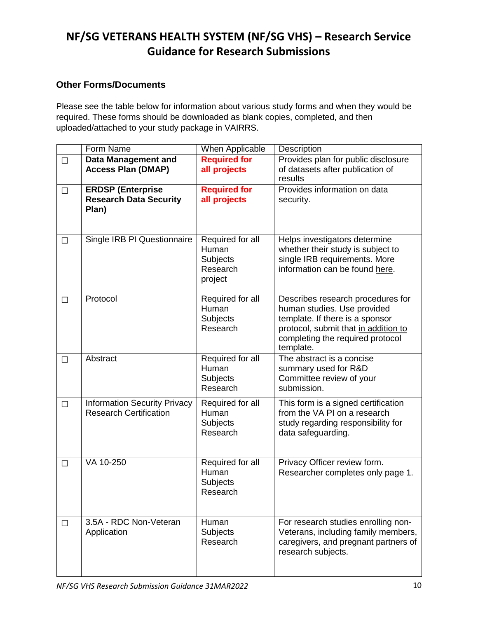### <span id="page-9-0"></span>**Other Forms/Documents**

Please see the table below for information about various study forms and when they would be required. These forms should be downloaded as blank copies, completed, and then uploaded/attached to your study package in VAIRRS.

|        | Form Name                                                            | <b>When Applicable</b>                                              | Description                                                                                                                                                                                  |
|--------|----------------------------------------------------------------------|---------------------------------------------------------------------|----------------------------------------------------------------------------------------------------------------------------------------------------------------------------------------------|
| $\Box$ | <b>Data Management and</b><br><b>Access Plan (DMAP)</b>              | <b>Required for</b><br>all projects                                 | Provides plan for public disclosure<br>of datasets after publication of<br>results                                                                                                           |
| $\Box$ | <b>ERDSP (Enterprise</b><br><b>Research Data Security</b><br>Plan)   | <b>Required for</b><br>all projects                                 | Provides information on data<br>security.                                                                                                                                                    |
| П      | Single IRB PI Questionnaire                                          | Required for all<br>Human<br><b>Subjects</b><br>Research<br>project | Helps investigators determine<br>whether their study is subject to<br>single IRB requirements. More<br>information can be found here.                                                        |
| □      | Protocol                                                             | Required for all<br>Human<br><b>Subjects</b><br>Research            | Describes research procedures for<br>human studies. Use provided<br>template. If there is a sponsor<br>protocol, submit that in addition to<br>completing the required protocol<br>template. |
| П      | Abstract                                                             | Required for all<br>Human<br><b>Subjects</b><br>Research            | The abstract is a concise<br>summary used for R&D<br>Committee review of your<br>submission.                                                                                                 |
| $\Box$ | <b>Information Security Privacy</b><br><b>Research Certification</b> | Required for all<br>Human<br>Subjects<br>Research                   | This form is a signed certification<br>from the VA PI on a research<br>study regarding responsibility for<br>data safeguarding.                                                              |
| $\Box$ | VA 10-250                                                            | Required for all<br>Human<br>Subjects<br>Research                   | Privacy Officer review form.<br>Researcher completes only page 1.                                                                                                                            |
| $\Box$ | 3.5A - RDC Non-Veteran<br>Application                                | Human<br><b>Subjects</b><br>Research                                | For research studies enrolling non-<br>Veterans, including family members,<br>caregivers, and pregnant partners of<br>research subjects.                                                     |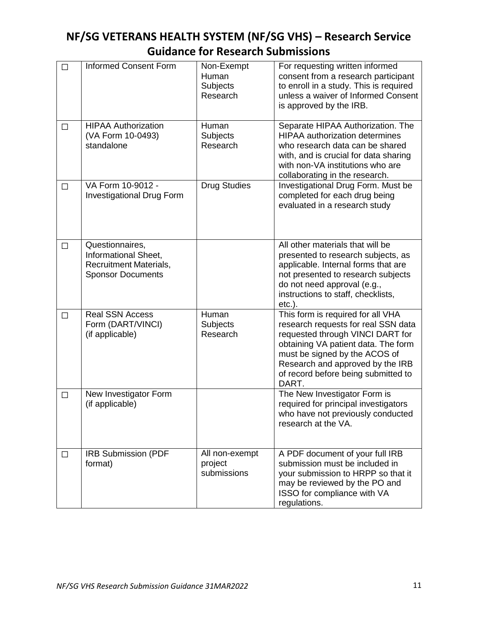| $\Box$ | <b>Informed Consent Form</b>                                                                  | Non-Exempt<br>Human<br><b>Subjects</b><br>Research | For requesting written informed<br>consent from a research participant<br>to enroll in a study. This is required<br>unless a waiver of Informed Consent<br>is approved by the IRB.                                                                                       |
|--------|-----------------------------------------------------------------------------------------------|----------------------------------------------------|--------------------------------------------------------------------------------------------------------------------------------------------------------------------------------------------------------------------------------------------------------------------------|
| П      | <b>HIPAA Authorization</b><br>(VA Form 10-0493)<br>standalone                                 | Human<br><b>Subjects</b><br>Research               | Separate HIPAA Authorization. The<br><b>HIPAA</b> authorization determines<br>who research data can be shared<br>with, and is crucial for data sharing<br>with non-VA institutions who are<br>collaborating in the research.                                             |
| $\Box$ | VA Form 10-9012 -<br><b>Investigational Drug Form</b>                                         | <b>Drug Studies</b>                                | Investigational Drug Form. Must be<br>completed for each drug being<br>evaluated in a research study                                                                                                                                                                     |
| □      | Questionnaires,<br>Informational Sheet,<br>Recruitment Materials,<br><b>Sponsor Documents</b> |                                                    | All other materials that will be<br>presented to research subjects, as<br>applicable. Internal forms that are<br>not presented to research subjects<br>do not need approval (e.g.,<br>instructions to staff, checklists,<br>$etc.$ ).                                    |
| $\Box$ | <b>Real SSN Access</b><br>Form (DART/VINCI)<br>(if applicable)                                | Human<br><b>Subjects</b><br>Research               | This form is required for all VHA<br>research requests for real SSN data<br>requested through VINCI DART for<br>obtaining VA patient data. The form<br>must be signed by the ACOS of<br>Research and approved by the IRB<br>of record before being submitted to<br>DART. |
| $\Box$ | New Investigator Form<br>(if applicable)                                                      |                                                    | The New Investigator Form is<br>required for principal investigators<br>who have not previously conducted<br>research at the VA.                                                                                                                                         |
| □      | <b>IRB Submission (PDF</b><br>format)                                                         | All non-exempt<br>project<br>submissions           | A PDF document of your full IRB<br>submission must be included in<br>your submission to HRPP so that it<br>may be reviewed by the PO and<br>ISSO for compliance with VA<br>regulations.                                                                                  |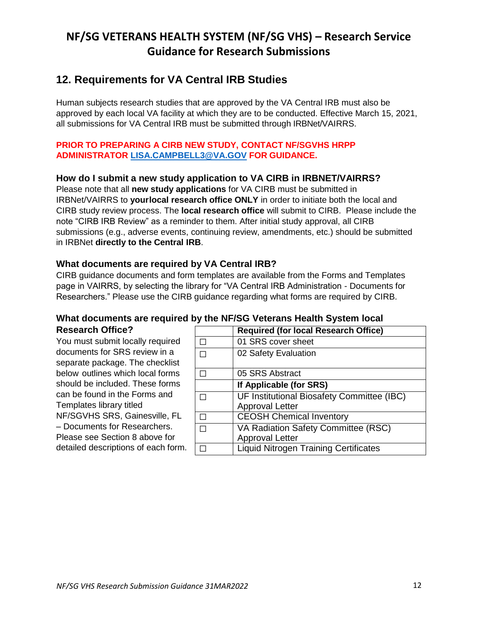### <span id="page-11-0"></span>**12. Requirements for VA Central IRB Studies**

Human subjects research studies that are approved by the VA Central IRB must also be approved by each local VA facility at which they are to be conducted. Effective March 15, 2021, all submissions for VA Central IRB must be submitted through IRBNet/VAIRRS.

#### **PRIOR TO PREPARING A CIRB NEW STUDY, CONTACT NF/SGVHS HRPP ADMINISTRATOR [LISA.CAMPBELL3@VA.GOV](mailto:Christina.Bennett2@va.gov) FOR GUIDANCE.**

### <span id="page-11-1"></span>**How do I submit a new study application to VA CIRB in IRBNET/VAIRRS?**

Please note that all **new study applications** for VA CIRB must be submitted in IRBNet/VAIRRS to **your local research office ONLY** in order to initiate both the local and CIRB study review process. The **local research office** will submit to CIRB. Please include the note "CIRB IRB Review" as a reminder to them. After initial study approval, all CIRB submissions (e.g., adverse events, continuing review, amendments, etc.) should be submitted in IRBNet **directly to the Central IRB**.

### **What documents are required by VA Central IRB?**

CIRB guidance documents and form templates are available from the Forms and Templates page in VAIRRS, by selecting the library for "VA Central IRB Administration - Documents for Researchers." Please use the CIRB guidance regarding what forms are required by CIRB.

#### <span id="page-11-3"></span>**What documents are required by the NF/SG Veterans Health System local Research Office?**

You must submit locally required documents for SRS review in a separate package. The checklist below outlines which local forms should be included. These forms can be found in the Forms and Templates library titled NF/SGVHS SRS, Gainesville, FL – Documents for Researchers. Please see Section 8 above for detailed descriptions of each form.

<span id="page-11-2"></span>

|   | <b>Required (for local Research Office)</b>                          |
|---|----------------------------------------------------------------------|
|   | 01 SRS cover sheet                                                   |
| П | 02 Safety Evaluation                                                 |
|   | 05 SRS Abstract                                                      |
|   | If Applicable (for SRS)                                              |
|   | UF Institutional Biosafety Committee (IBC)<br><b>Approval Letter</b> |
|   | <b>CEOSH Chemical Inventory</b>                                      |
|   | VA Radiation Safety Committee (RSC)<br><b>Approval Letter</b>        |
|   | <b>Liquid Nitrogen Training Certificates</b>                         |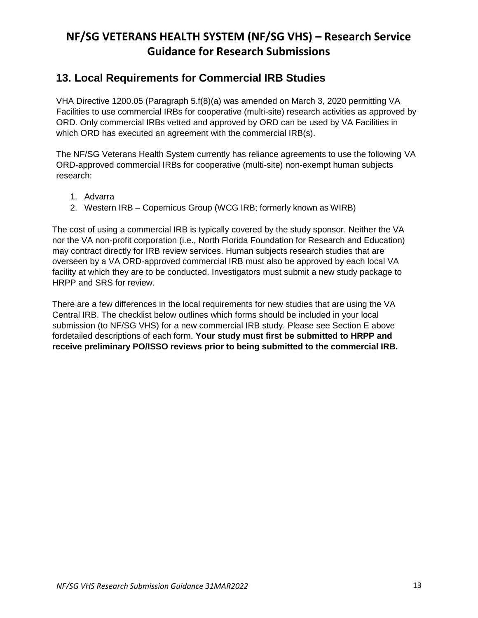### <span id="page-12-0"></span>**13. Local Requirements for Commercial IRB Studies**

VHA Directive 1200.05 (Paragraph 5.f(8)(a) was amended on March 3, 2020 permitting VA Facilities to use commercial IRBs for cooperative (multi-site) research activities as approved by ORD. Only commercial IRBs vetted and approved by ORD can be used by VA Facilities in which ORD has executed an agreement with the commercial IRB(s).

The NF/SG Veterans Health System currently has reliance agreements to use the following VA ORD-approved commercial IRBs for cooperative (multi-site) non-exempt human subjects research:

- 1. Advarra
- 2. Western IRB Copernicus Group (WCG IRB; formerly known as WIRB)

The cost of using a commercial IRB is typically covered by the study sponsor. Neither the VA nor the VA non-profit corporation (i.e., North Florida Foundation for Research and Education) may contract directly for IRB review services. Human subjects research studies that are overseen by a VA ORD-approved commercial IRB must also be approved by each local VA facility at which they are to be conducted. Investigators must submit a new study package to HRPP and SRS for review.

There are a few differences in the local requirements for new studies that are using the VA Central IRB. The checklist below outlines which forms should be included in your local submission (to NF/SG VHS) for a new commercial IRB study. Please see Section E above fordetailed descriptions of each form. **Your study must first be submitted to HRPP and receive preliminary PO/ISSO reviews prior to being submitted to the commercial IRB.**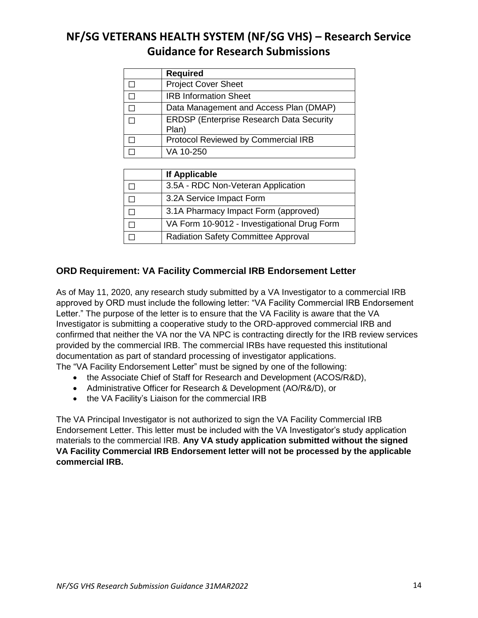| <b>Required</b>                                          |
|----------------------------------------------------------|
| <b>Project Cover Sheet</b>                               |
| <b>IRB Information Sheet</b>                             |
| Data Management and Access Plan (DMAP)                   |
| <b>ERDSP (Enterprise Research Data Security</b><br>Plan) |
| Protocol Reviewed by Commercial IRB                      |
| VA 10-250                                                |

| If Applicable                               |
|---------------------------------------------|
| 3.5A - RDC Non-Veteran Application          |
| 3.2A Service Impact Form                    |
| 3.1A Pharmacy Impact Form (approved)        |
| VA Form 10-9012 - Investigational Drug Form |
| <b>Radiation Safety Committee Approval</b>  |

### <span id="page-13-0"></span>**ORD Requirement: VA Facility Commercial IRB Endorsement Letter**

As of May 11, 2020, any research study submitted by a VA Investigator to a commercial IRB approved by ORD must include the following letter: "VA Facility Commercial IRB Endorsement Letter." The purpose of the letter is to ensure that the VA Facility is aware that the VA Investigator is submitting a cooperative study to the ORD-approved commercial IRB and confirmed that neither the VA nor the VA NPC is contracting directly for the IRB review services provided by the commercial IRB. The commercial IRBs have requested this institutional documentation as part of standard processing of investigator applications.

The "VA Facility Endorsement Letter" must be signed by one of the following:

- the Associate Chief of Staff for Research and Development (ACOS/R&D),
- Administrative Officer for Research & Development (AO/R&/D), or
- the VA Facility's Liaison for the commercial IRB

The VA Principal Investigator is not authorized to sign the VA Facility Commercial IRB Endorsement Letter. This letter must be included with the VA Investigator's study application materials to the commercial IRB. **Any VA study application submitted without the signed VA Facility Commercial IRB Endorsement letter will not be processed by the applicable commercial IRB.**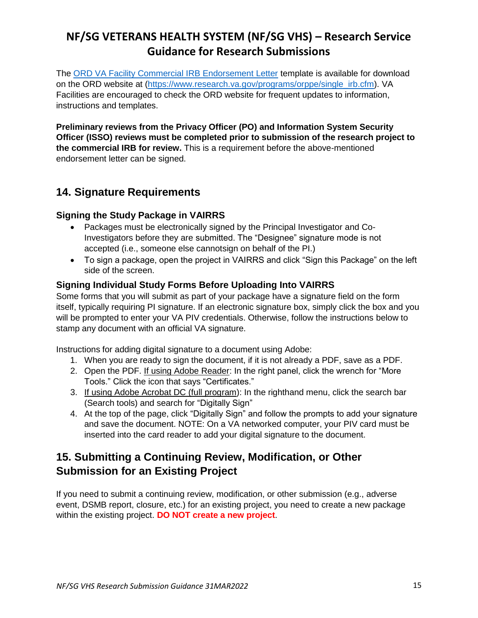The [ORD VA Facility Commercial IRB Endorsement Letter](https://www.research.va.gov/programs/orppe/VA-Facility-Endorsement-Letter-Template-for-Commercial-IRB-Submission.pdf) template is available for download on the ORD website at [\(https://www.research.va.gov/programs/orppe/single\\_irb.cfm\)](https://www.research.va.gov/programs/orppe/single_irb.cfm). VA Facilities are encouraged to check the ORD website for frequent updates to information, instructions and templates.

**Preliminary reviews from the Privacy Officer (PO) and Information System Security Officer (ISSO) reviews must be completed prior to submission of the research project to the commercial IRB for review.** This is a requirement before the above-mentioned endorsement letter can be signed.

# <span id="page-14-0"></span>**14. Signature Requirements**

### <span id="page-14-1"></span>**Signing the Study Package in VAIRRS**

- Packages must be electronically signed by the Principal Investigator and Co-Investigators before they are submitted. The "Designee" signature mode is not accepted (i.e., someone else cannotsign on behalf of the PI.)
- To sign a package, open the project in VAIRRS and click "Sign this Package" on the left side of the screen.

### <span id="page-14-2"></span>**Signing Individual Study Forms Before Uploading Into VAIRRS**

Some forms that you will submit as part of your package have a signature field on the form itself, typically requiring PI signature. If an electronic signature box, simply click the box and you will be prompted to enter your VA PIV credentials. Otherwise, follow the instructions below to stamp any document with an official VA signature.

Instructions for adding digital signature to a document using Adobe:

- 1. When you are ready to sign the document, if it is not already a PDF, save as a PDF.
- 2. Open the PDF. If using Adobe Reader: In the right panel, click the wrench for "More Tools." Click the icon that says "Certificates."
- 3. If using Adobe Acrobat DC (full program): In the righthand menu, click the search bar (Search tools) and search for "Digitally Sign"
- 4. At the top of the page, click "Digitally Sign" and follow the prompts to add your signature and save the document. NOTE: On a VA networked computer, your PIV card must be inserted into the card reader to add your digital signature to the document.

## <span id="page-14-3"></span>**15. Submitting a Continuing Review, Modification, or Other Submission for an Existing Project**

If you need to submit a continuing review, modification, or other submission (e.g., adverse event, DSMB report, closure, etc.) for an existing project, you need to create a new package within the existing project. **DO NOT create a new project**.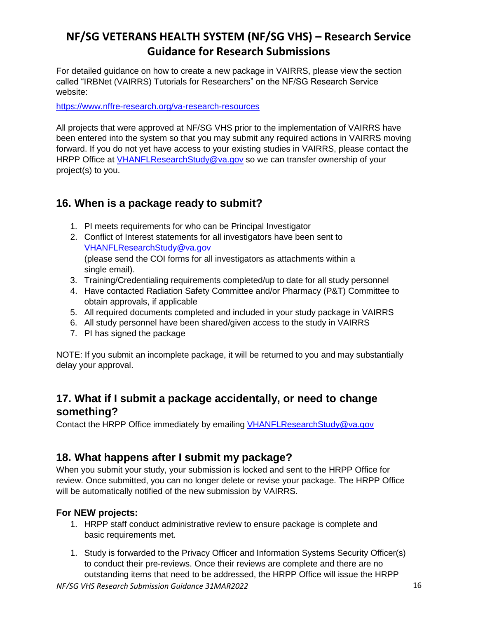For detailed guidance on how to create a new package in VAIRRS, please view the section called "IRBNet (VAIRRS) Tutorials for Researchers" on the NF/SG Research Service website:

<https://www.nffre-research.org/va-research-resources>

All projects that were approved at NF/SG VHS prior to the implementation of VAIRRS have been entered into the system so that you may submit any required actions in VAIRRS moving forward. If you do not yet have access to your existing studies in VAIRRS, please contact the HRPP Office at [VHANFLResearchStudy@va.gov](mailto:VHANFLResearchStudy@va.gov) so we can transfer ownership of your project(s) to you.

### <span id="page-15-0"></span>**16. When is a package ready to submit?**

- 1. PI meets requirements for who can be Principal Investigator
- 2. Conflict of Interest statements for all investigators have been sent to [VHANFLResearchStudy@va.gov](mailto:VHANFLResearchStudy@va.gov) (please send the COI forms for all investigators as attachments within a single email).
- 3. Training/Credentialing requirements completed/up to date for all study personnel
- 4. Have contacted Radiation Safety Committee and/or Pharmacy (P&T) Committee to obtain approvals, if applicable
- 5. All required documents completed and included in your study package in VAIRRS
- 6. All study personnel have been shared/given access to the study in VAIRRS
- 7. PI has signed the package

NOTE: If you submit an incomplete package, it will be returned to you and may substantially delay your approval.

## <span id="page-15-1"></span>**17. What if I submit a package accidentally, or need to change something?**

Contact the HRPP Office immediately by emailing [VHANFLResearchStudy@va.gov](mailto:VHANFLResearchStudy@va.gov)

### <span id="page-15-2"></span>**18. What happens after I submit my package?**

When you submit your study, your submission is locked and sent to the HRPP Office for review. Once submitted, you can no longer delete or revise your package. The HRPP Office will be automatically notified of the new submission by VAIRRS.

#### <span id="page-15-3"></span>**For NEW projects:**

- 1. HRPP staff conduct administrative review to ensure package is complete and basic requirements met.
- 1. Study is forwarded to the Privacy Officer and Information Systems Security Officer(s) to conduct their pre-reviews. Once their reviews are complete and there are no outstanding items that need to be addressed, the HRPP Office will issue the HRPP